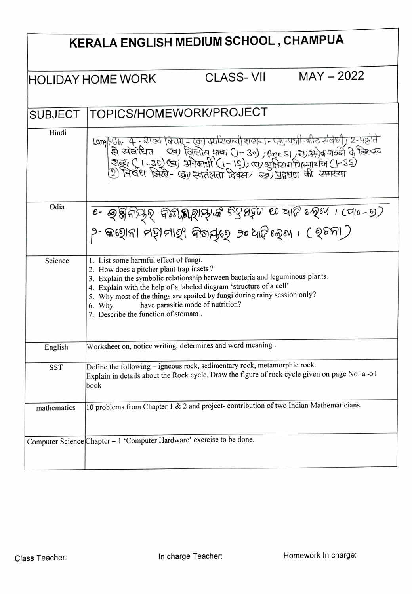| KERALA ENGLISH MEDIUM SCHOOL, CHAMPUA                  |                                                                                                                                                                                                                                                                                                                                                                                                              |
|--------------------------------------------------------|--------------------------------------------------------------------------------------------------------------------------------------------------------------------------------------------------------------------------------------------------------------------------------------------------------------------------------------------------------------------------------------------------------------|
| $MAY - 2022$<br>CLASS- VII<br><b>HOLIDAY HOME WORK</b> |                                                                                                                                                                                                                                                                                                                                                                                                              |
| <b>SUBJECT</b>                                         | TOPICS/HOMEWORK/PROJECT                                                                                                                                                                                                                                                                                                                                                                                      |
| Hindi                                                  | lam Ch- 4 - शब्द विराष्ट्र - का प्रप्रायंजानी शक्ता - पशुन्पक्षी-कीट संबंधी , 2-प्रक्रांते<br>से संबंधित - ख्रा विलोम शब्द (1-30) , क्षित s   , प्रगुर्मोक शक्ते के क्रिस्क<br>राह्य ( 1-35) खा अंगेकार्शी (1-15), खा अतिस्माधिन्ना                                                                                                                                                                          |
| Odia                                                   | - ବ୍ରଞ୍ଜିନିଧିହ୍ ବିଛି। ଶିହାଧିକ ଚିତ୍ରଷ୍ଟିତ ୧୦ ସାଟି ହେବା । cqlo-୭)<br>୨- କାଷ୍ଠାନା ମହାମାହ୍ୟ କିବାର୍ଯ୍ୟ ୨୦ ଧାଟି ଲେବା । ( ହଚନା )                                                                                                                                                                                                                                                                                    |
| Science                                                | 1. List some harmful effect of fungi.<br>2. How does a pitcher plant trap insets?<br>3. Explain the symbolic relationship between bacteria and leguminous plants.<br>4. Explain with the help of a labeled diagram 'structure of a cell'<br>5. Why most of the things are spoiled by fungi during rainy session only?<br>have parasitic mode of nutrition?<br>6. Why<br>7. Describe the function of stomata. |
| English                                                | Worksheet on, notice writing, determines and word meaning.                                                                                                                                                                                                                                                                                                                                                   |
| SST                                                    | Define the following - igneous rock, sedimentary rock, metamorphic rock.<br>Explain in details about the Rock cycle. Draw the figure of rock cycle given on page No: a -51<br>book                                                                                                                                                                                                                           |
| mathematics                                            | 10 problems from Chapter $\frac{1}{x}$ & 2 and project- contribution of two Indian Mathematicians.                                                                                                                                                                                                                                                                                                           |
|                                                        | Computer Science Chapter - 1 'Computer Hardware' exercise to be done.                                                                                                                                                                                                                                                                                                                                        |